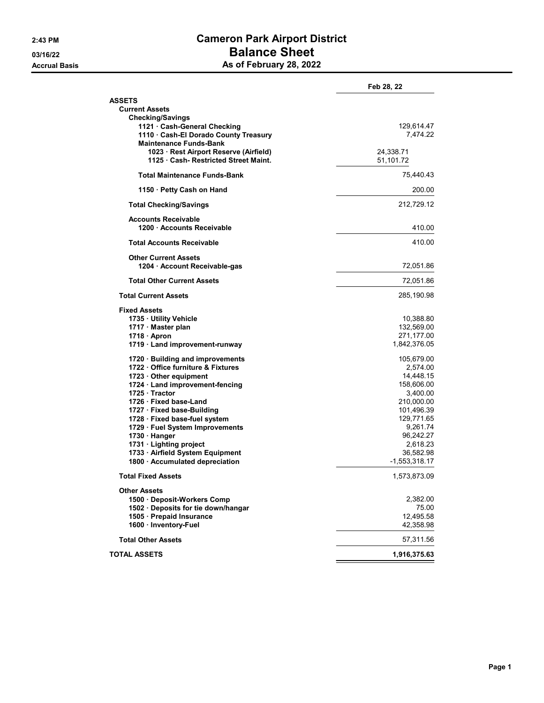## 2:43 PM Cameron Park Airport District 03/16/22 **Balance Sheet** Accrual Basis **As of February 28, 2022**

|                                                                     | Feb 28, 22                   |
|---------------------------------------------------------------------|------------------------------|
| <b>ASSETS</b>                                                       |                              |
| <b>Current Assets</b>                                               |                              |
| <b>Checking/Savings</b>                                             |                              |
| 1121 · Cash-General Checking                                        | 129,614.47                   |
| 1110 · Cash-El Dorado County Treasury                               | 7,474.22                     |
| <b>Maintenance Funds-Bank</b>                                       |                              |
| 1023 · Rest Airport Reserve (Airfield)                              | 24,338.71                    |
| 1125 Cash- Restricted Street Maint.                                 | 51,101.72                    |
| <b>Total Maintenance Funds-Bank</b>                                 | 75,440.43                    |
| 1150 · Petty Cash on Hand                                           | 200.00                       |
| <b>Total Checking/Savings</b>                                       | 212,729.12                   |
|                                                                     |                              |
| <b>Accounts Receivable</b>                                          |                              |
| 1200 · Accounts Receivable                                          | 410.00                       |
| <b>Total Accounts Receivable</b>                                    | 410.00                       |
| <b>Other Current Assets</b>                                         |                              |
| 1204 · Account Receivable-gas                                       | 72,051.86                    |
| <b>Total Other Current Assets</b>                                   | 72,051.86                    |
| <b>Total Current Assets</b>                                         | 285,190.98                   |
| <b>Fixed Assets</b>                                                 |                              |
| 1735 · Utility Vehicle                                              | 10,388.80                    |
| 1717 · Master plan                                                  | 132,569.00                   |
| 1718 · Apron                                                        | 271,177.00                   |
| 1719 · Land improvement-runway                                      | 1,842,376.05                 |
| 1720 · Building and improvements                                    | 105,679.00                   |
| 1722 Office furniture & Fixtures                                    | 2,574.00                     |
| 1723 Other equipment                                                | 14,448.15                    |
| 1724 · Land improvement-fencing                                     | 158,606.00                   |
| 1725 Tractor                                                        | 3,400.00                     |
| 1726 · Fixed base-Land                                              | 210,000.00                   |
| 1727 · Fixed base-Building                                          | 101,496.39                   |
| 1728 · Fixed base-fuel system                                       | 129,771.65                   |
| 1729 · Fuel System Improvements                                     | 9,261.74                     |
| 1730 · Hanger                                                       | 96,242.27                    |
|                                                                     | 2,618.23                     |
| 1731 · Lighting project                                             |                              |
| 1733 · Airfield System Equipment<br>1800 · Accumulated depreciation | 36,582.98<br>$-1,553,318.17$ |
|                                                                     |                              |
| Total Fixed Assets                                                  | 1,573,873.09                 |
| <b>Other Assets</b>                                                 |                              |
| 1500 · Deposit-Workers Comp                                         | 2,382.00                     |
| 1502 · Deposits for tie down/hangar                                 | 75.00                        |
| 1505 · Prepaid Insurance                                            | 12,495.58                    |
| 1600 · Inventory-Fuel                                               | 42,358.98                    |
| <b>Total Other Assets</b>                                           | 57,311.56                    |
| <b>TOTAL ASSETS</b>                                                 | 1,916,375.63                 |